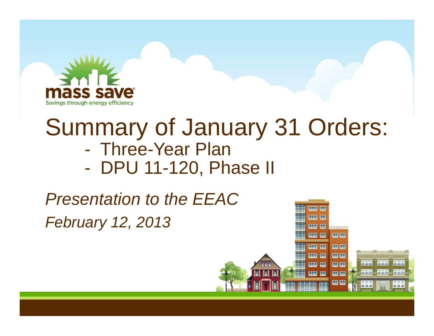

# Summary of January 31 Orders:

- -Three-Year Plan
- $\mathcal{L}_{\mathcal{A}}$ DPU 11-120, Phase II

*February 12, 2013 Presentation to the EEAC*

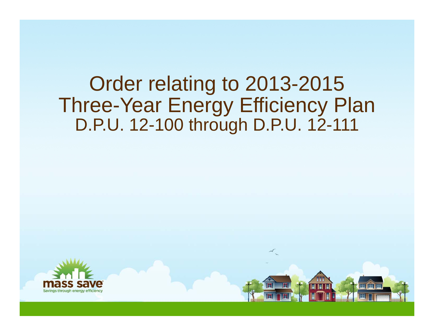## Order relating to 2013-2015 Three-Year Energy Efficiency Plan D.P.U. 12-100 through D.P.U. 12-111

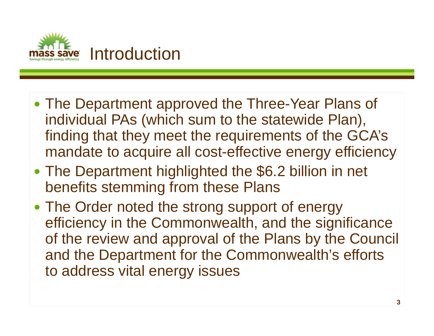

- The Department approved the Three-Year Plans of individual PAs (which sum to the statewide Plan), finding that they meet the requirements of the GCA's mandate to acquire all cost-effective energy efficiency
- $\bullet$  The Department highlighted the \$6.2 billion in net benefits stemming from these Plans
- The Order noted the strong support of energy efficiency in the Commonwealth, and the significance of the review and approval of the Plans by the Council and the Department for the Commonwealth's efforts to address vital energy issues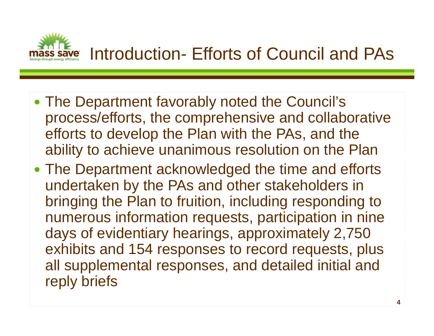

- The Department favorably noted the Council's process/efforts, the comprehensive and collaborative efforts to develop the Plan with the PAs, and the ability to achieve unanimous resolution on the Plan
- The Department acknowledged the time and efforts undertaken by the PAs and other stakeholders in bringing the Plan to fruition, including responding to numerous information requests, participation in nine days of evidentiary hearings, approximately 2,750 exhibits and 154 responses to record requests, plus all supplemental responses, and detailed initial and reply briefs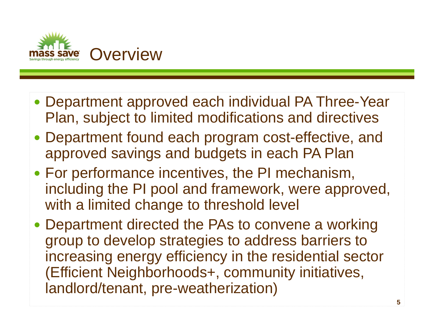

- Department approved each individual PA Three-Year Plan, subject to limited modifications and directives
- Department found each program cost-effective, and approved savings and budgets in each PA Plan
- For performance incentives, the PI mechanism, including the PI pool and framework, were approved, with a limited change to threshold level
- Department directed the PAs to convene a working group to develop strategies to address barriers to increasing energy efficiency in the residential sector (Efficient Neighborhoods+, community initiatives, landlord/tenant, pre-weatherization)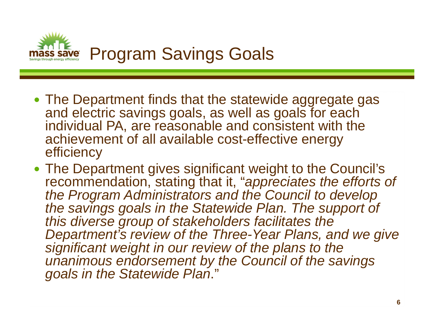

- The Department finds that the statewide aggregate gas and electric savings goals, as well as goals for each individual PA, are reasonable and consistent with the achievement of all available cost-effective energy efficiency
- The Department gives significant weight to the Council's recommendation, stating that it, "*appreciates the efforts of the Program Administrators and the Council to develop*  the savings goals in the Statewide Plan. The support of *this diverse group of stakeholders facilitates the Department's review of the Three-Year Plans, and we give significant weight in our review of the plans to the unanimous endorsement by the Council of the savings goals in the Statewide Plan*."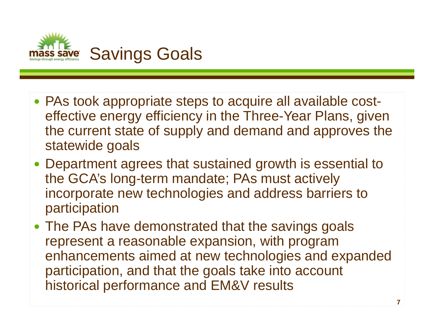

- PAs took appropriate steps to acquire all available costeffective energy efficiency in the Three-Year Plans, given the current state of supply and demand and approves the statewide goals
- Department agrees that sustained growth is essential to the GCA's long-term mandate; PAs must actively incorporate new technologies and address barriers to participation
- The PAs have demonstrated that the savings goals represent a reasonable expansion, with program enhancements aimed at new technologies and expanded participation, and that the goals take into account historical performance and EM&V results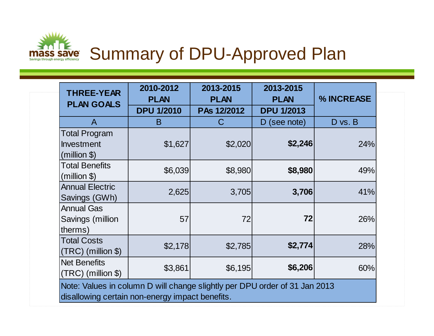

| <b>THREE-YEAR</b><br><b>PLAN GOALS</b>                                                                                        | 2010-2012<br><b>PLAN</b> | 2013-2015<br><b>PLAN</b> | 2013-2015<br><b>PLAN</b> | % INCREASE |
|-------------------------------------------------------------------------------------------------------------------------------|--------------------------|--------------------------|--------------------------|------------|
|                                                                                                                               | <b>DPU 1/2010</b>        | PAs 12/2012              | <b>DPU 1/2013</b>        |            |
| A                                                                                                                             | B                        | C                        | D (see note)             | D vs. B    |
| <b>Total Program</b><br>Investment<br>(million <sub>5</sub> )                                                                 | \$1,627                  | \$2,020                  | \$2,246                  | 24%        |
| <b>Total Benefits</b><br>$(million \$                                                                                         | \$6,039                  | \$8,980                  | \$8,980                  | 49%        |
| <b>Annual Electric</b><br>Savings (GWh)                                                                                       | 2,625                    | 3,705                    | 3,706                    | 41%        |
| <b>Annual Gas</b><br>Savings (million<br>therms)                                                                              | 57                       | 72                       | 72                       | 26%        |
| <b>Total Costs</b><br>$(TRC)$ (million \$)                                                                                    | \$2,178                  | \$2,785                  | \$2,774                  | 28%        |
| <b>Net Benefits</b><br>$\vert$ (TRC) (million \$)                                                                             | \$3,861                  | \$6,195                  | \$6,206                  | 60%        |
| Note: Values in column D will change slightly per DPU order of 31 Jan 2013<br>disallowing certain non-energy impact benefits. |                          |                          |                          |            |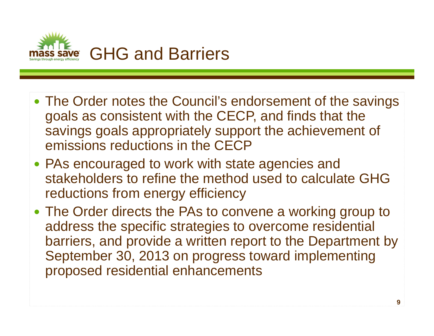![](_page_8_Picture_0.jpeg)

- The Order notes the Council's endorsement of the savings goals as consistent with the CECP, and finds that the savings goals appropriately support the achievement of emissions reductions in the CECP
- PAs encouraged to work with state agencies and stakeholders to refine the method used to calculate GHG reductions from energy efficiency
- The Order directs the PAs to convene a working group to address the specific strategies to overcome residential barriers, and provide a written report to the Department by September 30, 2013 on progress toward implementing proposed residential enhancements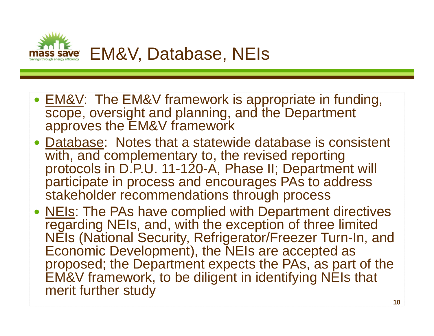![](_page_9_Picture_0.jpeg)

- EM&V: The EM&V framework is appropriate in funding, scope, oversight and planning, and the Department approves the EM&V framework
- Database: Notes that a statewide database is consistent with, and complementary to, the revised reporting protocols in D.P.U. 11-120-A, Phase II; Department will participate in process and encourages PAs to address stakeholder recommendations through process
- NEIs: The PAs have complied with Department directives regarding NEIs, and, with the exception of three limited NEIs (National Security, Refrigerator/Freezer Turn-In, and Economic Development), the NEIs are accepted as proposed; the Department expects the PAs, as part of the EM&V framework, to be diligent in identifying NEIs that merit further study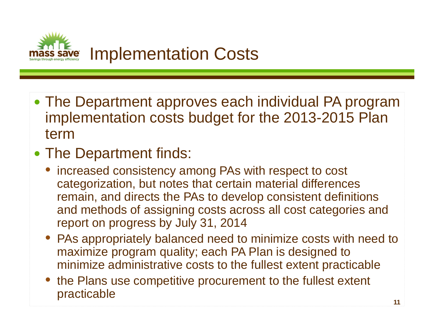![](_page_10_Picture_0.jpeg)

- The Department approves each individual PA program implementation costs budget for the 2013-2015 Plan term
- The Department finds:
	- $\bullet$  increased consistency among PAs with respect to cost categorization, but notes that certain material differences remain, and directs the PAs to develop consistent definitions and methods of assigning costs across all cost categories and report on progress by July 31, 2014
	- PAs appropriately balanced need to minimize costs with need to maximize program quality; each PA Plan is designed to minimize administrative costs to the fullest extent practicable
	- the Plans use competitive procurement to the fullest extent practicable **11** and 11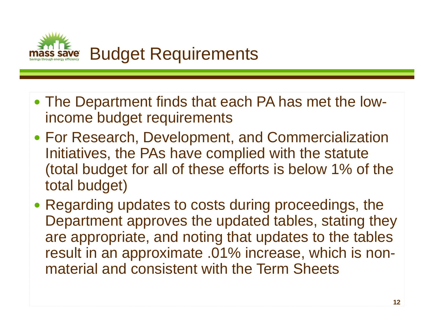![](_page_11_Picture_0.jpeg)

- The Department finds that each PA has met the lowincome budget requirements
- For Research, Development, and Commercialization Initiatives, the PAs have complied with the statute (total budget for all of these efforts is below 1% of the total budget)
- Regarding updates to costs during proceedings, the Department approves the updated tables, stating they are appropriate, and noting that updates to the tables result in an approximate .01% increase, which is nonmaterial and consistent with the Term Sheets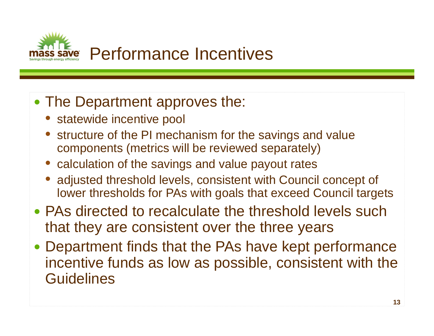![](_page_12_Picture_0.jpeg)

#### • The Department approves the:

- statewide incentive pool
- structure of the PI mechanism for the savings and value components (metrics will be reviewed separately)
- calculation of the savings and value payout rates
- $\bullet$  adjusted threshold levels, consistent with Council concept of lower thresholds for PAs with goals that exceed Council targets
- PAs directed to recalculate the threshold levels such that they are consistent over the three years
- Department finds that the PAs have kept performance incentive funds as low as possible, consistent with the **Guidelines**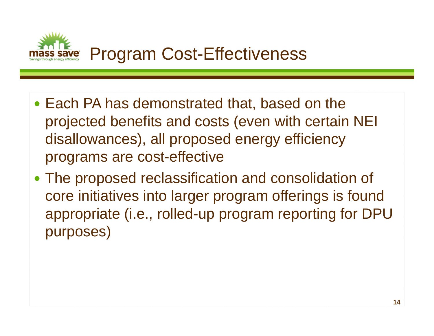![](_page_13_Picture_0.jpeg)

- Each PA has demonstrated that, based on the projected benefits and costs (even with certain NEI disallowances), all proposed energy efficiency programs are cost-effective
- The proposed reclassification and consolidation of core initiatives into larger program offerings is found appropriate (i.e., rolled-up program reporting for DPU purposes)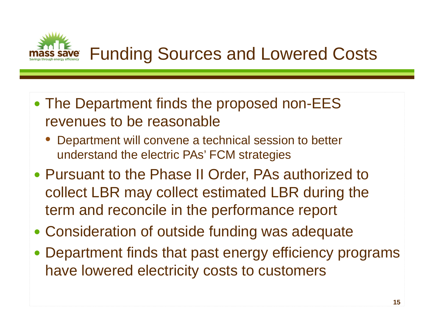![](_page_14_Picture_0.jpeg)

- The Department finds the proposed non-EES revenues to be reasonable
	- • Department will convene a technical session to better understand the electric PAs' FCM strategies
- Pursuant to the Phase II Order, PAs authorized to collect LBR may collect estimated LBR during the term and reconcile in the performance report
- Consideration of outside funding was adequate
- Department finds that past energy efficiency programs have lowered electricity costs to customers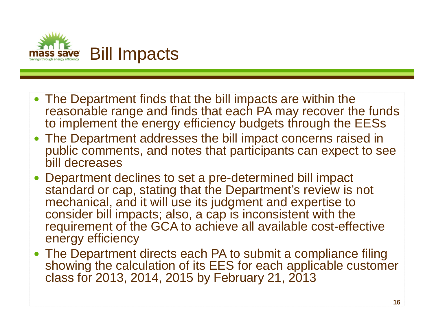![](_page_15_Picture_0.jpeg)

- The Department finds that the bill impacts are within the reasonable range and finds that each PA may recover the funds to implement the energy efficiency budgets through the EESs
- The Department addresses the bill impact concerns raised in public comments, and notes that participants can expect to see bill decreases
- Department declines to set a pre-determined bill impact standard or cap, stating that the Department's review is not mechanical, and it will use its judgment and expertise to consider bill impacts; also, a cap is inconsistent with the requirement of the GCA to achieve all available cost-effective energy efficiency
- The Department directs each PA to submit a compliance filing showing the calculation of its EES for each applicable customer class for 2013, 2014, 2015 by February 21, 2013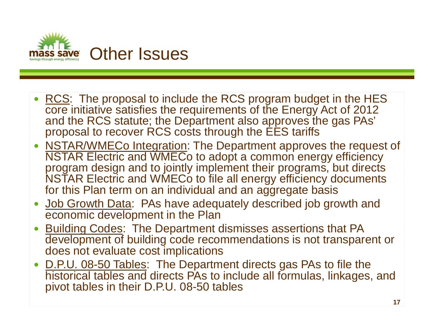![](_page_16_Picture_0.jpeg)

- RCS: The proposal to include the RCS program budget in the HES core initiative satisfies the requirements of the Energy Act of 2012 and the RCS statute; the Department also approves the gas PAs' proposal to recover RCS costs through the EES tariffs
- NSTAR/WMECo Integration: The Department approves the request of NSTAR Electric and WMECo to adopt a common energy efficiency program design and to jointly implement their programs, but directs NSTAR Electric and WMECo to file all energy efficiency documents for this Plan term on an individual and an aggregate basis
- Job Growth Data: PAs have adequately described job growth and economic development in the Plan
- Building Codes: The Department dismisses assertions that PA development of building code recommendations is not transparent or does not evaluate cost implications
- <u>D.P.U. 08-50 Tables</u>: The Department directs gas PAs to file the historical tables and directs PAs to include all formulas, linkages, and pivot tables in their D.P.U. 08-50 tables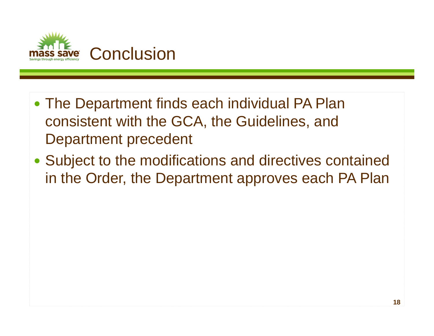![](_page_17_Picture_0.jpeg)

- The Department finds each individual PA Plan consistent with the GCA, the Guidelines, and Department precedent
- Subject to the modifications and directives contained in the Order, the Department approves each PA Plan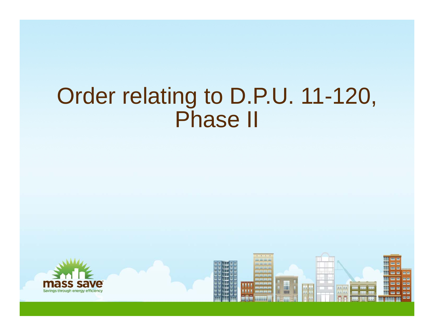## Order relating to D.P.U. 11-120, Phase II

![](_page_18_Picture_1.jpeg)

![](_page_18_Picture_2.jpeg)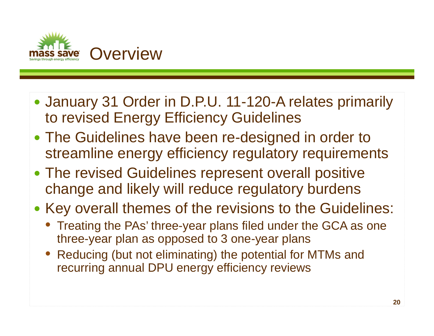![](_page_19_Picture_0.jpeg)

- January 31 Order in D.P.U. 11-120-A relates primarily to revised Energy Efficiency Guidelines
- The Guidelines have been re-designed in order to streamline energy efficiency regulatory requirements
- The revised Guidelines represent overall positive change and likely will reduce regulatory burdens
- Key overall themes of the revisions to the Guidelines:
	- Treating the PAs' three-year plans filed under the GCA as one three-year plan as opposed to 3 one-year plans
	- Reducing (but not eliminating) the potential for MTMs and recurring annual DPU energy efficiency reviews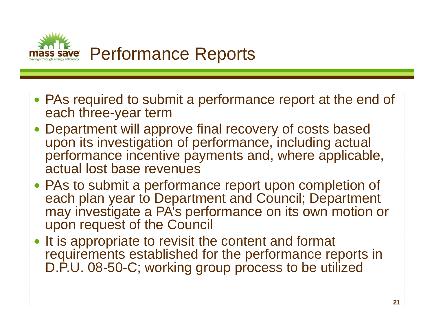![](_page_20_Picture_0.jpeg)

- PAs required to submit a performance report at the end of each three-year term
- Department will approve final recovery of costs based upon its investigation of performance, including actual performance incentive payments and, where applicable, actual lost base revenues
- PAs to submit a performance report upon completion of each plan year to Department and Council; Department may investigate a PA's performance on its own motion or upon request of the Council
- It is appropriate to revisit the content and format requirements established for the performance reports in D.P.U. 08-50-C; working group process to be utilized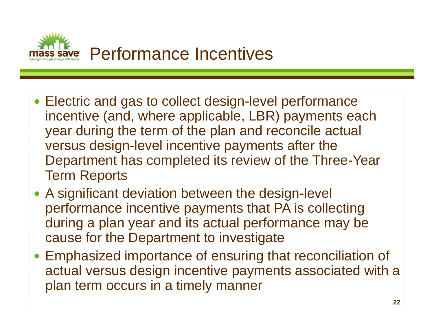![](_page_21_Picture_0.jpeg)

- Electric and gas to collect design-level performance incentive (and, where applicable, LBR) payments each year during the term of the plan and reconcile actual versus design-level incentive payments after the Department has completed its review of the Three-Year Term Reports
- A significant deviation between the design-level performance incentive payments that PA is collecting during a plan year and its actual performance may be cause for the Department to investigate
- Emphasized importance of ensuring that reconciliation of actual versus design incentive payments associated with a plan term occurs in a timely manner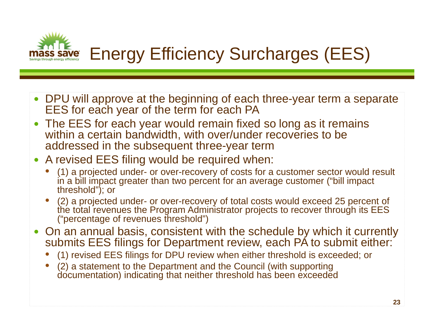![](_page_22_Picture_0.jpeg)

- DPU will approve at the beginning of each three-year term a separate EES for each year of the term for each PA
- $\bullet$  The EES for each year would remain fixed so long as it remains within a certain bandwidth, with over/under recoveries to be addressed in the subsequent three-year term
- A revised EES filing would be required when:
	- • (1) a projected under- or over-recovery of costs for a customer sector would result in a bill impact greater than two percent for an average customer ("bill impact threshold"); or
	- • (2) a projected under- or over-recovery of total costs would exceed 25 percent of the total revenues the Program Administrator projects to recover through its EES ("percentage of revenues threshold")
- On an annual basis, consistent with the schedule by which it currently submits EES filings for Department review, each PA to submit either:
	- •(1) revised EES filings for DPU review when either threshold is exceeded; or
	- • (2) a statement to the Department and the Council (with supporting documentation) indicating that neither threshold has been exceeded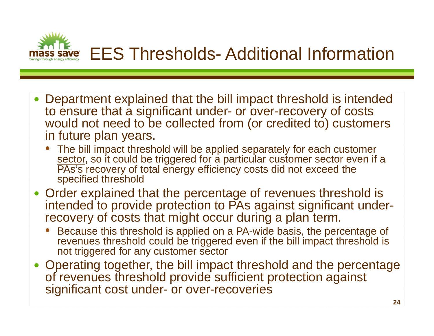![](_page_23_Picture_0.jpeg)

- Department explained that the bill impact threshold is intended to ensure that a significant under- or over-recovery of costs would not need to be collected from (or credited to) customers in future plan years.
	- The bill impact threshold will be applied separately for each customer sector, so it could be triggered for a particular customer sector even if a PAs's recovery of total energy efficiency costs did not exceed the specified threshold
- Order explained that the percentage of revenues threshold is intended to provide protection to PAs against significant underrecovery of costs that might occur during a plan term.
	- • Because this threshold is applied on a PA-wide basis, the percentage of revenues threshold could be triggered even if the bill impact threshold is not triggered for any customer sector
- Operating together, the bill impact threshold and the percentage of revenues threshold provide sufficient protection against significant cost under- or over-recoveries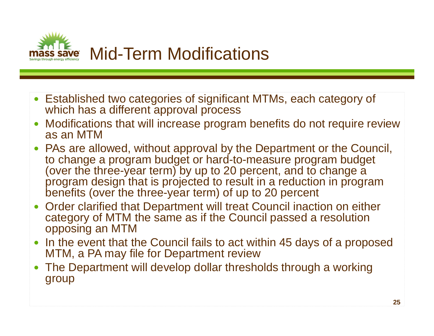![](_page_24_Picture_0.jpeg)

- Established two categories of significant MTMs, each category of which has a different approval process
- $\bullet$  Modifications that will increase program benefits do not require review as an MTM
- PAs are allowed, without approval by the Department or the Council, to change a program budget or hard-to-measure program budget (over the three-year term) by up to 20 percent, and to change a program design that is projected to result in a reduction in program benefits (over the three-year term) of up to 20 percent
- $\bullet$  Order clarified that Department will treat Council inaction on either category of MTM the same as if the Council passed a resolution opposing an MTM
- In the event that the Council fails to act within 45 days of a proposed MTM, a PA may file for Department review
- $\bullet$  The Department will develop dollar thresholds through a working group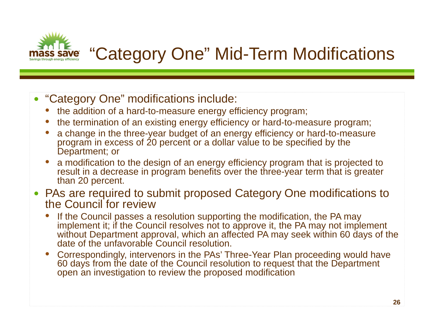![](_page_25_Picture_0.jpeg)

## "Category One" Mid-Term Modifications

- "Category One" modifications include:
	- the addition of a hard-to-measure energy efficiency program;
	- •the termination of an existing energy efficiency or hard-to-measure program;
	- • a change in the three-year budget of an energy efficiency or hard-to-measure program in excess of 20 percent or a dollar value to be specified by the Department; or
	- • a modification to the design of an energy efficiency program that is projected to result in a decrease in program benefits over the three-year term that is greater than 20 percent.
- PAs are required to submit proposed Category One modifications to the Council for review
	- • If the Council passes a resolution supporting the modification, the PA may implement it; if the Council resolves not to approve it, the PA may not implement without Department approval, which an affected PA may seek within 60 days of the date of the unfavorable Council resolution.
	- • Correspondingly, intervenors in the PAs' Three-Year Plan proceeding would have 60 days from the date of the Council resolution to request that the Department open an investigation to review the proposed modification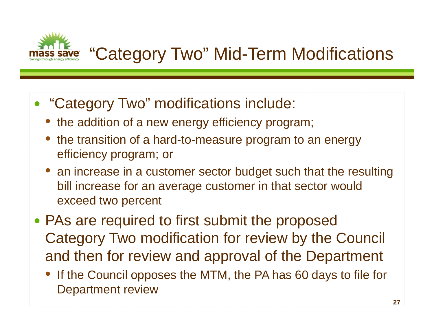![](_page_26_Picture_0.jpeg)

## "Category Two" Mid-Term Modifications

- "Category Two" modifications include:
	- the addition of a new energy efficiency program;
	- $\bullet$  the transition of a hard-to-measure program to an energy efficiency program; or
	- an increase in a customer sector budget such that the resulting bill increase for an average customer in that sector would exceed two percent
- PAs are required to first submit the proposed Category Two modification for review by the Council and then for review and approval of the Department
	- $\bullet$  If the Council opposes the MTM, the PA has 60 days to file for Department review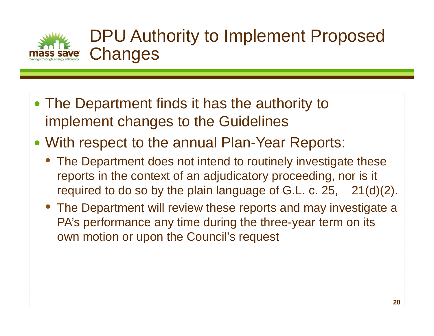![](_page_27_Picture_0.jpeg)

### DPU Authority to Implement Proposed **Changes**

- The Department finds it has the authority to implement changes to the Guidelines
- With respect to the annual Plan-Year Reports:
	- The Department does not intend to routinely investigate these reports in the context of an adjudicatory proceeding, nor is it required to do so by the plain language of G.L. c. 25, 21(d)(2).
	- The Department will review these reports and may investigate a PA's performance any time during the three-year term on its own motion or upon the Council's request